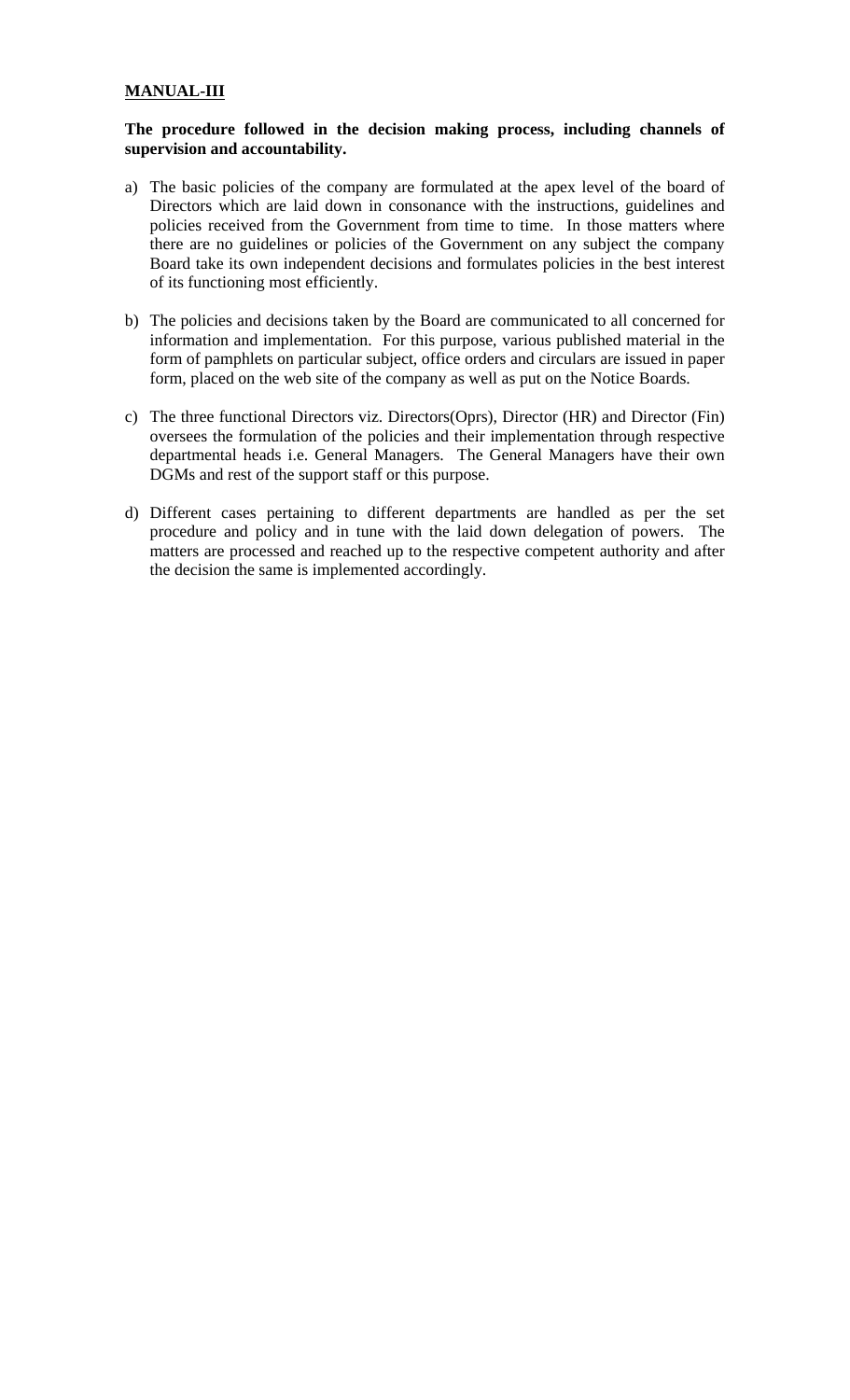## **MANUAL-III**

## **The procedure followed in the decision making process, including channels of supervision and accountability.**

- a) The basic policies of the company are formulated at the apex level of the board of Directors which are laid down in consonance with the instructions, guidelines and policies received from the Government from time to time. In those matters where there are no guidelines or policies of the Government on any subject the company Board take its own independent decisions and formulates policies in the best interest of its functioning most efficiently.
- b) The policies and decisions taken by the Board are communicated to all concerned for information and implementation. For this purpose, various published material in the form of pamphlets on particular subject, office orders and circulars are issued in paper form, placed on the web site of the company as well as put on the Notice Boards.
- c) The three functional Directors viz. Directors(Oprs), Director (HR) and Director (Fin) oversees the formulation of the policies and their implementation through respective departmental heads i.e. General Managers. The General Managers have their own DGMs and rest of the support staff or this purpose.
- d) Different cases pertaining to different departments are handled as per the set procedure and policy and in tune with the laid down delegation of powers. The matters are processed and reached up to the respective competent authority and after the decision the same is implemented accordingly.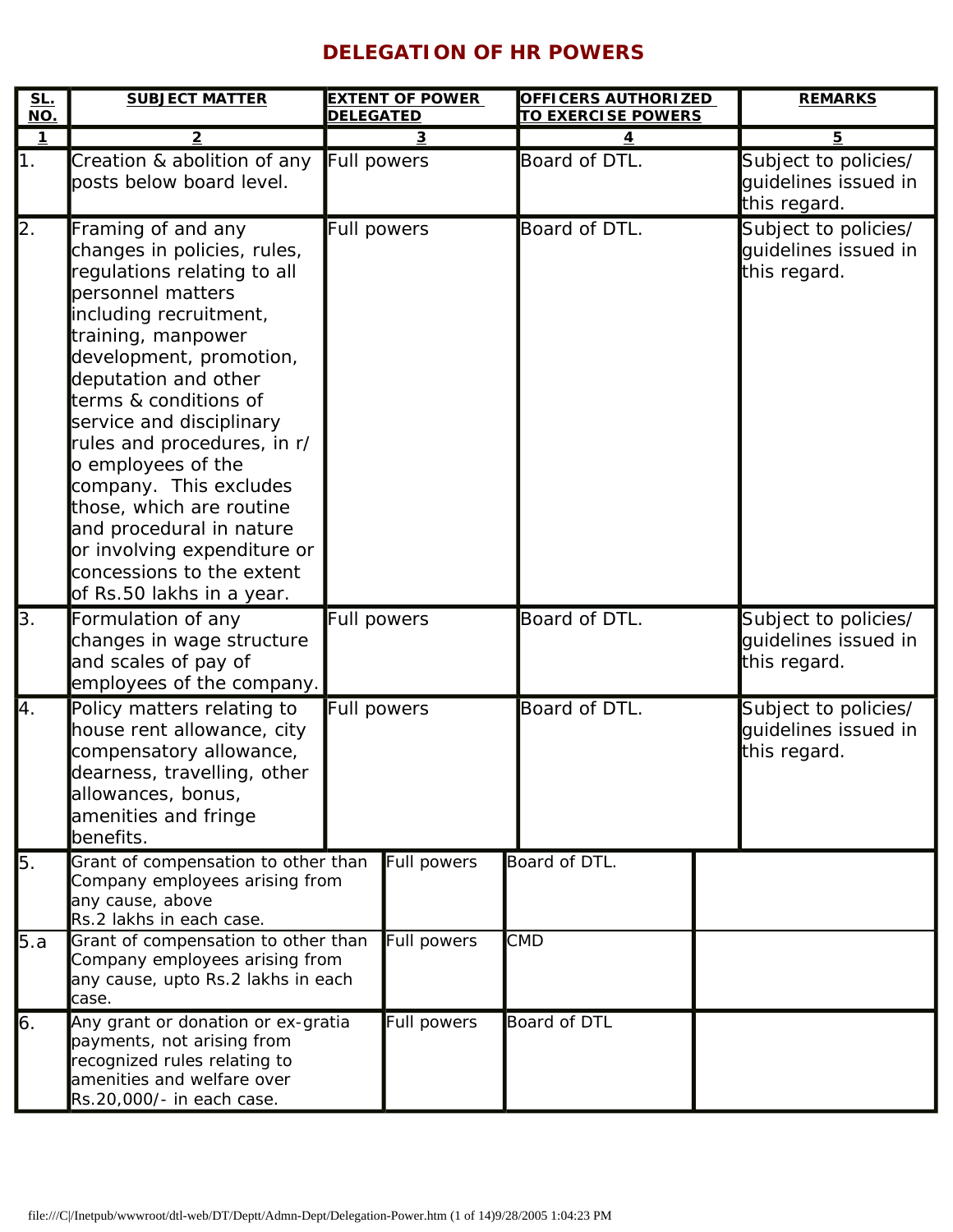## **DELEGATION OF HR POWERS**

| <u>SL.</u><br>NO. | <b>SUBJECT MATTER</b>                                                                                                                                                                                                                                                                                                                                                                                                                                                                         | <b>EXTENT OF POWER</b><br><b>OFFICERS AUTHORIZED</b><br><b>TO EXERCISE POWERS</b><br><b>DELEGATED</b> |                    | <b>REMARKS</b> |                                                              |
|-------------------|-----------------------------------------------------------------------------------------------------------------------------------------------------------------------------------------------------------------------------------------------------------------------------------------------------------------------------------------------------------------------------------------------------------------------------------------------------------------------------------------------|-------------------------------------------------------------------------------------------------------|--------------------|----------------|--------------------------------------------------------------|
| $\overline{1}$    | $\overline{2}$                                                                                                                                                                                                                                                                                                                                                                                                                                                                                |                                                                                                       | 3                  | 4              | 5                                                            |
| $\mathsf{1}$ .    | Creation & abolition of any<br>posts below board level.                                                                                                                                                                                                                                                                                                                                                                                                                                       | Full powers                                                                                           |                    | Board of DTL.  | Subject to policies/<br>guidelines issued in<br>this regard. |
| $\overline{2}$ .  | Framing of and any<br>changes in policies, rules,<br>regulations relating to all<br>personnel matters<br>including recruitment,<br>training, manpower<br>development, promotion,<br>deputation and other<br>terms & conditions of<br>service and disciplinary<br>rules and procedures, in r/<br>o employees of the<br>company. This excludes<br>those, which are routine<br>and procedural in nature<br>or involving expenditure or<br>concessions to the extent<br>of Rs.50 lakhs in a year. |                                                                                                       | <b>Full powers</b> | Board of DTL.  | Subject to policies/<br>quidelines issued in<br>this regard. |
| 3.                | Formulation of any<br>changes in wage structure<br>and scales of pay of<br>employees of the company.                                                                                                                                                                                                                                                                                                                                                                                          | <b>Full powers</b>                                                                                    |                    | Board of DTL.  | Subject to policies/<br>guidelines issued in<br>this regard. |
| 4.                | Policy matters relating to<br>house rent allowance, city<br>compensatory allowance,<br>dearness, travelling, other<br>allowances, bonus,<br>amenities and fringe<br>benefits.                                                                                                                                                                                                                                                                                                                 |                                                                                                       | <b>Full powers</b> | Board of DTL.  | Subject to policies/<br>guidelines issued in<br>this regard. |
| 5.                | Grant of compensation to other than<br>Company employees arising from<br>any cause, above<br>Rs.2 lakhs in each case.                                                                                                                                                                                                                                                                                                                                                                         | Full powers                                                                                           | Board of DTL.      |                |                                                              |
| 5.a               | Grant of compensation to other than<br>Company employees arising from<br>any cause, upto Rs.2 lakhs in each<br>case.                                                                                                                                                                                                                                                                                                                                                                          |                                                                                                       | Full powers        | <b>CMD</b>     |                                                              |
| 6.                | Any grant or donation or ex-gratia<br>payments, not arising from<br>recognized rules relating to<br>amenities and welfare over<br>Rs.20,000/- in each case.                                                                                                                                                                                                                                                                                                                                   |                                                                                                       | Full powers        | Board of DTL   |                                                              |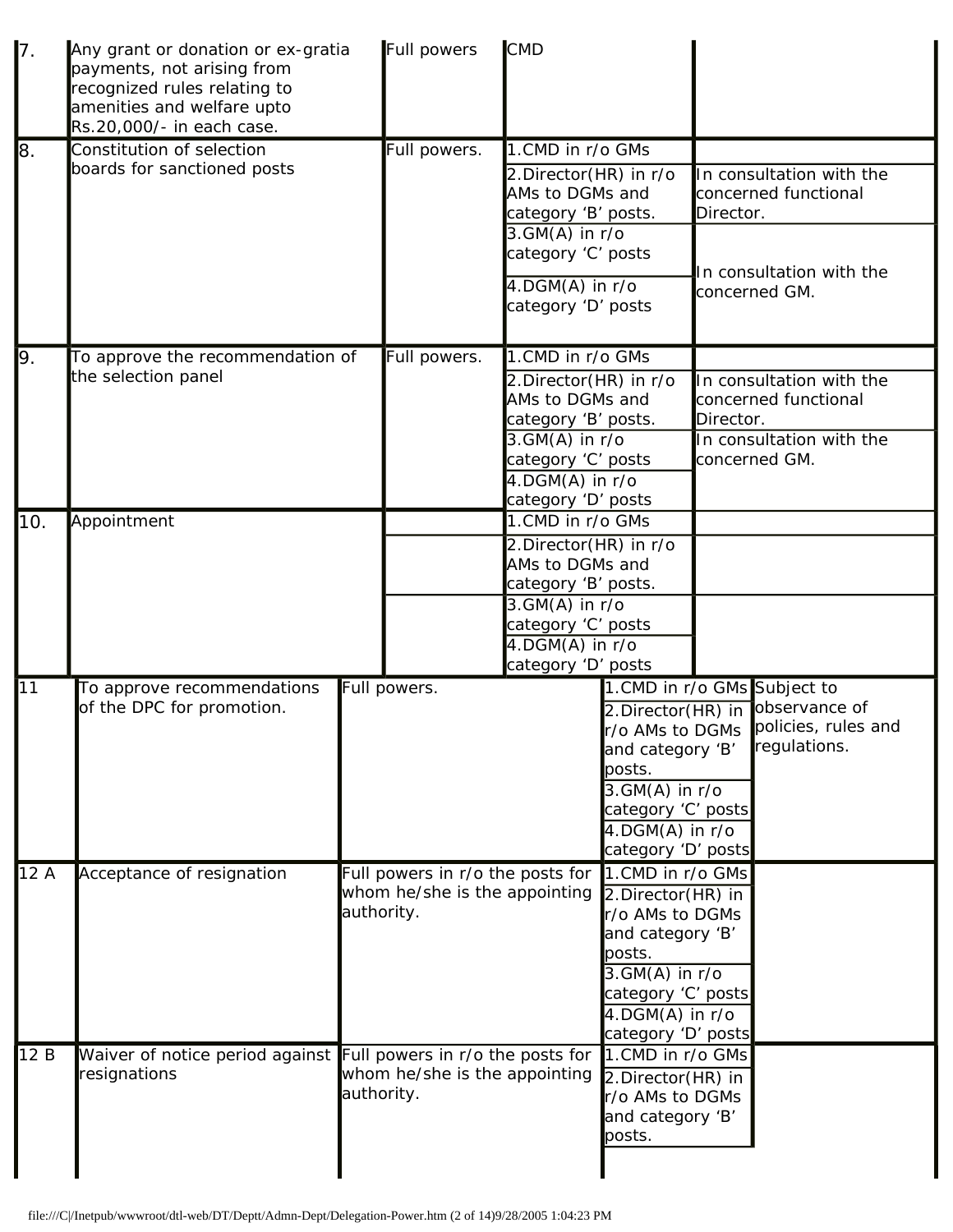| $\mathsf{I}$ 7. | Any grant or donation or ex-gratia<br>payments, not arising from<br>recognized rules relating to<br>amenities and welfare upto<br>Rs.20,000/- in each case. |                    | Full powers                                                       | <b>CMD</b>                                                      |                                             |           |                                                       |
|-----------------|-------------------------------------------------------------------------------------------------------------------------------------------------------------|--------------------|-------------------------------------------------------------------|-----------------------------------------------------------------|---------------------------------------------|-----------|-------------------------------------------------------|
| 8.              | Constitution of selection                                                                                                                                   |                    | Full powers.                                                      | 1.CMD in r/o GMs                                                |                                             |           |                                                       |
|                 | boards for sanctioned posts                                                                                                                                 |                    |                                                                   | 2.Director(HR) in r/o<br>AMs to DGMs and<br>category 'B' posts. |                                             | Director. | In consultation with the<br>concerned functional      |
|                 |                                                                                                                                                             |                    |                                                                   | $3.GM(A)$ in $r/o$<br>category 'C' posts                        |                                             |           | In consultation with the                              |
|                 |                                                                                                                                                             |                    |                                                                   | $4.$ DGM(A) in $r$ /o<br>category 'D' posts                     |                                             |           | concerned GM.                                         |
| 9.              | To approve the recommendation of                                                                                                                            |                    | Full powers.                                                      | 1.CMD in r/o GMs                                                |                                             |           |                                                       |
|                 | the selection panel                                                                                                                                         |                    |                                                                   | 2.Director(HR) in r/o<br>AMs to DGMs and                        |                                             |           | In consultation with the<br>concerned functional      |
|                 |                                                                                                                                                             |                    |                                                                   | category 'B' posts.                                             |                                             | Director. |                                                       |
|                 |                                                                                                                                                             |                    |                                                                   | $3.GM(A)$ in r/o<br>category 'C' posts                          |                                             |           | In consultation with the<br>concerned GM.             |
|                 |                                                                                                                                                             |                    |                                                                   | 4.DGM(A) in r/o                                                 |                                             |           |                                                       |
|                 |                                                                                                                                                             | category 'D' posts |                                                                   |                                                                 |                                             |           |                                                       |
| 10.             | Appointment                                                                                                                                                 |                    |                                                                   | 1.CMD in r/o GMs                                                |                                             |           |                                                       |
|                 |                                                                                                                                                             |                    |                                                                   | 2.Director(HR) in r/o                                           |                                             |           |                                                       |
|                 |                                                                                                                                                             |                    | AMs to DGMs and                                                   |                                                                 |                                             |           |                                                       |
|                 |                                                                                                                                                             |                    |                                                                   | category 'B' posts.<br>$3.GM(A)$ in $r/o$                       |                                             |           |                                                       |
|                 |                                                                                                                                                             |                    |                                                                   | category 'C' posts                                              |                                             |           |                                                       |
|                 |                                                                                                                                                             |                    |                                                                   | $4.$ DGM $(A)$ in r/o                                           |                                             |           |                                                       |
|                 |                                                                                                                                                             |                    |                                                                   | category 'D' posts                                              |                                             |           |                                                       |
| 11              | To approve recommendations                                                                                                                                  |                    | Full powers.                                                      |                                                                 |                                             |           | 1. CMD in r/o GMs Subject to                          |
|                 | of the DPC for promotion.                                                                                                                                   |                    |                                                                   |                                                                 | 2.Director(HR) in                           |           | jobservance of<br>r/o AMs to DGMs policies, rules and |
|                 |                                                                                                                                                             |                    |                                                                   |                                                                 | and category 'B'                            |           | regulations.                                          |
|                 |                                                                                                                                                             |                    |                                                                   |                                                                 | posts.                                      |           |                                                       |
|                 |                                                                                                                                                             |                    |                                                                   |                                                                 | $3.GM(A)$ in r/o                            |           |                                                       |
|                 |                                                                                                                                                             |                    |                                                                   |                                                                 | category 'C' posts                          |           |                                                       |
|                 |                                                                                                                                                             |                    |                                                                   | 4.DGM(A) in r/o                                                 |                                             |           |                                                       |
|                 |                                                                                                                                                             |                    |                                                                   |                                                                 | category 'D' posts<br>1. CMD in r/o GMs     |           |                                                       |
| 12A             | Acceptance of resignation                                                                                                                                   |                    | Full powers in r/o the posts for<br>whom he/she is the appointing |                                                                 | 2.Director(HR) in                           |           |                                                       |
|                 |                                                                                                                                                             | authority.         |                                                                   |                                                                 | r/o AMs to DGMs                             |           |                                                       |
|                 |                                                                                                                                                             |                    |                                                                   |                                                                 | and category 'B'                            |           |                                                       |
|                 |                                                                                                                                                             |                    |                                                                   |                                                                 | posts.                                      |           |                                                       |
|                 |                                                                                                                                                             |                    |                                                                   |                                                                 | $3.GM(A)$ in $r/o$                          |           |                                                       |
|                 |                                                                                                                                                             |                    |                                                                   |                                                                 | category 'C' posts<br>$4.$ DGM $(A)$ in r/o |           |                                                       |
|                 |                                                                                                                                                             |                    |                                                                   | category 'D' posts                                              |                                             |           |                                                       |
| 12B             | Waiver of notice period against Full powers in r/o the posts for                                                                                            |                    |                                                                   |                                                                 | 1.CMD in r/o GMs                            |           |                                                       |
|                 | resignations                                                                                                                                                |                    | whom he/she is the appointing                                     |                                                                 | 2.Director(HR) in                           |           |                                                       |
|                 |                                                                                                                                                             | authority.         |                                                                   |                                                                 | r/o AMs to DGMs                             |           |                                                       |
|                 |                                                                                                                                                             |                    |                                                                   |                                                                 | and category 'B'                            |           |                                                       |
|                 |                                                                                                                                                             |                    |                                                                   |                                                                 | posts.                                      |           |                                                       |
|                 |                                                                                                                                                             |                    |                                                                   |                                                                 |                                             |           |                                                       |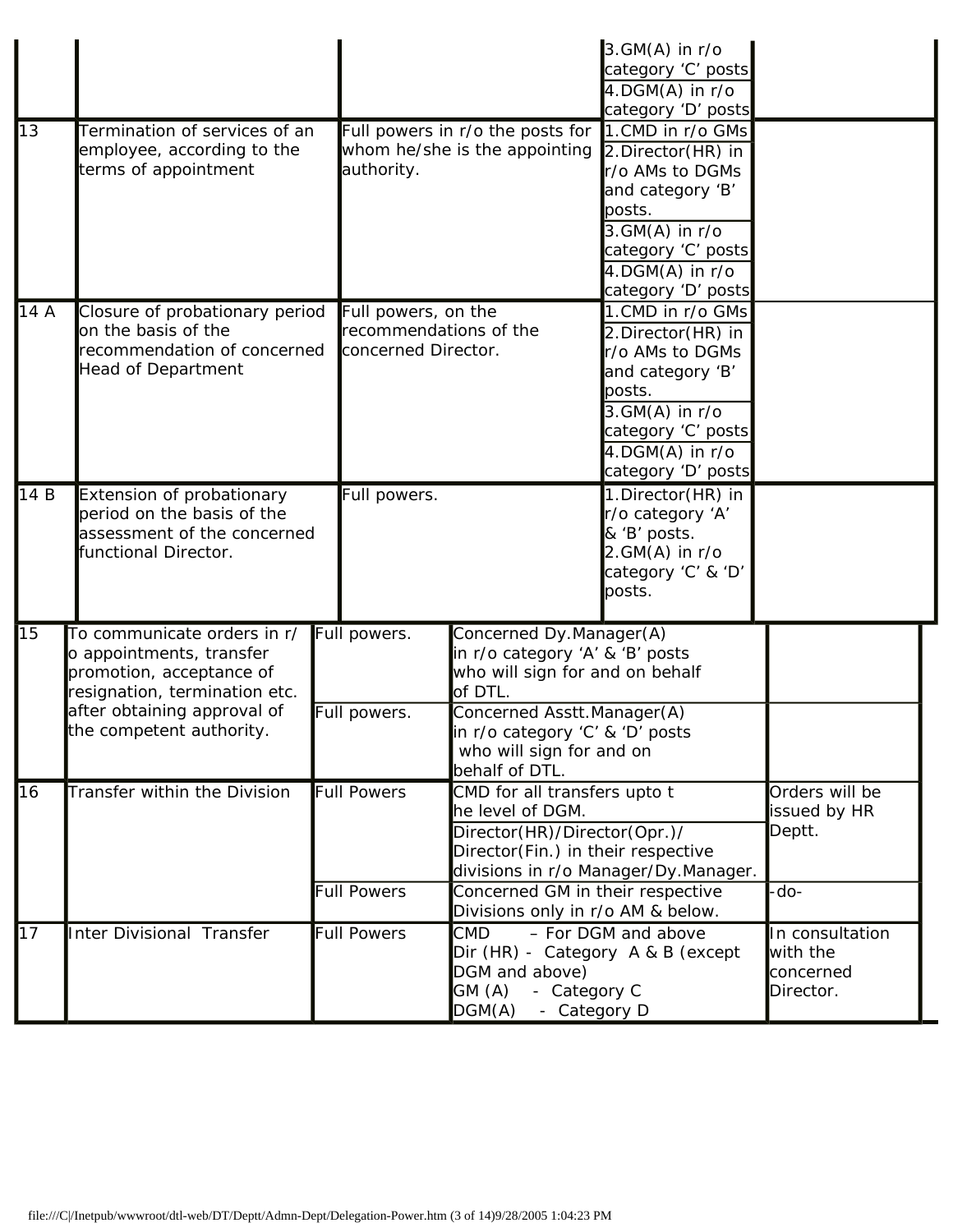|      |                                                                                                                                                                                 |                                                                      |                                                                                                                                                                                                                         | $3.GM(A)$ in $r/o$<br>category 'C' posts<br>$4.$ DGM $(A)$ in r/o<br>category 'D' posts                                                                                                                    |                                                       |
|------|---------------------------------------------------------------------------------------------------------------------------------------------------------------------------------|----------------------------------------------------------------------|-------------------------------------------------------------------------------------------------------------------------------------------------------------------------------------------------------------------------|------------------------------------------------------------------------------------------------------------------------------------------------------------------------------------------------------------|-------------------------------------------------------|
| 13   | Termination of services of an<br>employee, according to the<br>terms of appointment                                                                                             | authority.                                                           | Full powers in r/o the posts for<br>whom he/she is the appointing                                                                                                                                                       | 1.CMD in r/o GMs<br>2.Director(HR) in<br>r/o AMs to DGMs<br>and category 'B'<br>posts.<br>$3.GM(A)$ in $r/o$<br>category 'C' posts<br>4.DGM(A) in r/o<br>category 'D' posts                                |                                                       |
| 14 A | Closure of probationary period<br>on the basis of the<br>recommendation of concerned<br><b>Head of Department</b>                                                               | Full powers, on the<br>recommendations of the<br>concerned Director. |                                                                                                                                                                                                                         | 1.CMD in r/o GMs<br>2.Director(HR) in<br>r/o AMs to DGMs<br>and category 'B'<br>posts.<br>$3.GM(A)$ in r/o<br>category 'C' posts<br>$\overline{4.}\overline{\mathsf{DGM(A)}}$ in r/o<br>category 'D' posts |                                                       |
| 14 B | Extension of probationary<br>period on the basis of the<br>assessment of the concerned<br>functional Director.                                                                  | Full powers.                                                         |                                                                                                                                                                                                                         | 1.Director(HR) in<br>r/o category 'A'<br>& 'B' posts.<br>$2.GM(A)$ in r/o<br>category 'C' & 'D'<br>posts.                                                                                                  |                                                       |
| 15   | To communicate orders in r/<br>o appointments, transfer<br>promotion, acceptance of<br>resignation, termination etc.<br>after obtaining approval of<br>the competent authority. | Full powers.<br>Full powers.                                         | Concerned Dy.Manager(A)<br>in r/o category 'A' & 'B' posts<br>who will sign for and on behalf<br>of DTL.<br>Concerned Asstt.Manager(A)<br>in r/o category 'C' & 'D' posts<br>who will sign for and on<br>behalf of DTL. |                                                                                                                                                                                                            |                                                       |
| 16   | Transfer within the Division                                                                                                                                                    | <b>Full Powers</b><br><b>Full Powers</b>                             | CMD for all transfers upto t<br>he level of DGM.<br>Director(HR)/Director(Opr.)/<br>Director(Fin.) in their respective<br>Concerned GM in their respective<br>Divisions only in r/o AM & below.                         | divisions in r/o Manager/Dy.Manager.                                                                                                                                                                       | Orders will be<br>issued by HR<br>Deptt.<br>-do-      |
| 17   | Inter Divisional Transfer                                                                                                                                                       | <b>Full Powers</b>                                                   | <b>CMD</b><br>Dir (HR) - Category A & B (except<br>DGM and above)<br>GM (A)<br>- Category C<br>DGM(A)<br>- Category D                                                                                                   | - For DGM and above                                                                                                                                                                                        | In consultation<br>with the<br>concerned<br>Director. |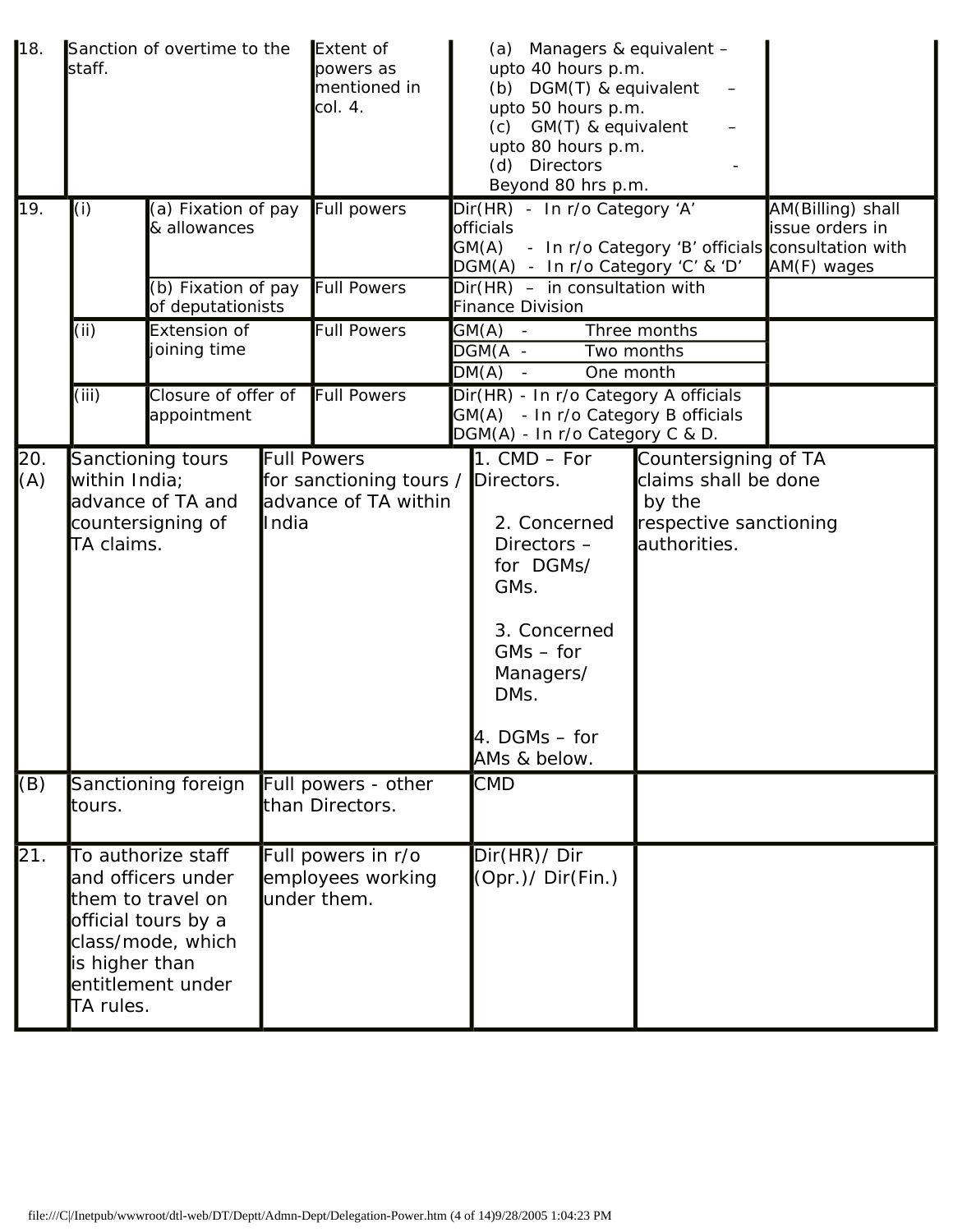| 18.        | Sanction of overtime to the<br>staff.                                                                                                                         |                                          | Extent of<br>powers as<br>mentioned in<br>col. 4.      | (a) Managers & equivalent -<br>upto 40 hours p.m.<br>(b) DGM(T) & equivalent<br>upto 50 hours p.m.<br>(c) GM(T) & equivalent<br>upto 80 hours p.m.<br>(d) Directors<br>Beyond 80 hrs p.m. |                                                                                                                                                                                                                                    |  |                                                     |
|------------|---------------------------------------------------------------------------------------------------------------------------------------------------------------|------------------------------------------|--------------------------------------------------------|-------------------------------------------------------------------------------------------------------------------------------------------------------------------------------------------|------------------------------------------------------------------------------------------------------------------------------------------------------------------------------------------------------------------------------------|--|-----------------------------------------------------|
| 19.        | (i)                                                                                                                                                           | (a) Fixation of pay<br>& allowances      |                                                        | Full powers                                                                                                                                                                               | Dir(HR) - In r/o Category 'A'<br>officials<br>GM(A) - In r/o Category 'B' officials consultation with<br>DGM(A) - In r/o Category 'C' & 'D'                                                                                        |  | AM(Billing) shall<br>issue orders in<br>AM(F) wages |
|            |                                                                                                                                                               | (b) Fixation of pay<br>of deputationists |                                                        | <b>Full Powers</b>                                                                                                                                                                        | $Dir(HR) - in$ consultation with<br><b>Finance Division</b>                                                                                                                                                                        |  |                                                     |
|            | (i)                                                                                                                                                           | Extension of<br>joining time             |                                                        | <b>Full Powers</b>                                                                                                                                                                        | G(M(A))<br>Three months<br>$\blacksquare$<br>$DGM(A -$<br>Two months<br>DM(A)<br>One month                                                                                                                                         |  |                                                     |
|            | (iii)                                                                                                                                                         | Closure of offer of<br>appointment       |                                                        | Full Powers                                                                                                                                                                               | Dir(HR) - In r/o Category A officials<br>GM(A) - In r/o Category B officials<br>DGM(A) - In r/o Category C & D.                                                                                                                    |  |                                                     |
| 20.<br>(A) | Sanctioning tours<br>within India;<br>advance of TA and<br>countersigning of<br>TA claims.                                                                    |                                          | India                                                  | Full Powers<br>for sanctioning tours / Directors.<br>advance of TA within                                                                                                                 | 1. $CMD - For$<br>claims shall be done<br>by the<br>2. Concerned<br>respective sanctioning<br>authorities.<br>Directors-<br>for DGMs/<br>GMs.<br>3. Concerned<br>$GMs - for$<br>Managers/<br>DMs.<br>4. DGMs - for<br>AMs & below. |  | Countersigning of TA                                |
| (B)        | tours.                                                                                                                                                        | Sanctioning foreign                      |                                                        | Full powers - other<br>than Directors.                                                                                                                                                    | <b>CMD</b>                                                                                                                                                                                                                         |  |                                                     |
| 21.        | To authorize staff<br>and officers under<br>them to travel on<br>official tours by a<br>class/mode, which<br>is higher than<br>entitlement under<br>TA rules. |                                          | Full powers in r/o<br>employees working<br>under them. | Dir(HR)/ Dir<br>(Opr.)/ Dir(Fin.)                                                                                                                                                         |                                                                                                                                                                                                                                    |  |                                                     |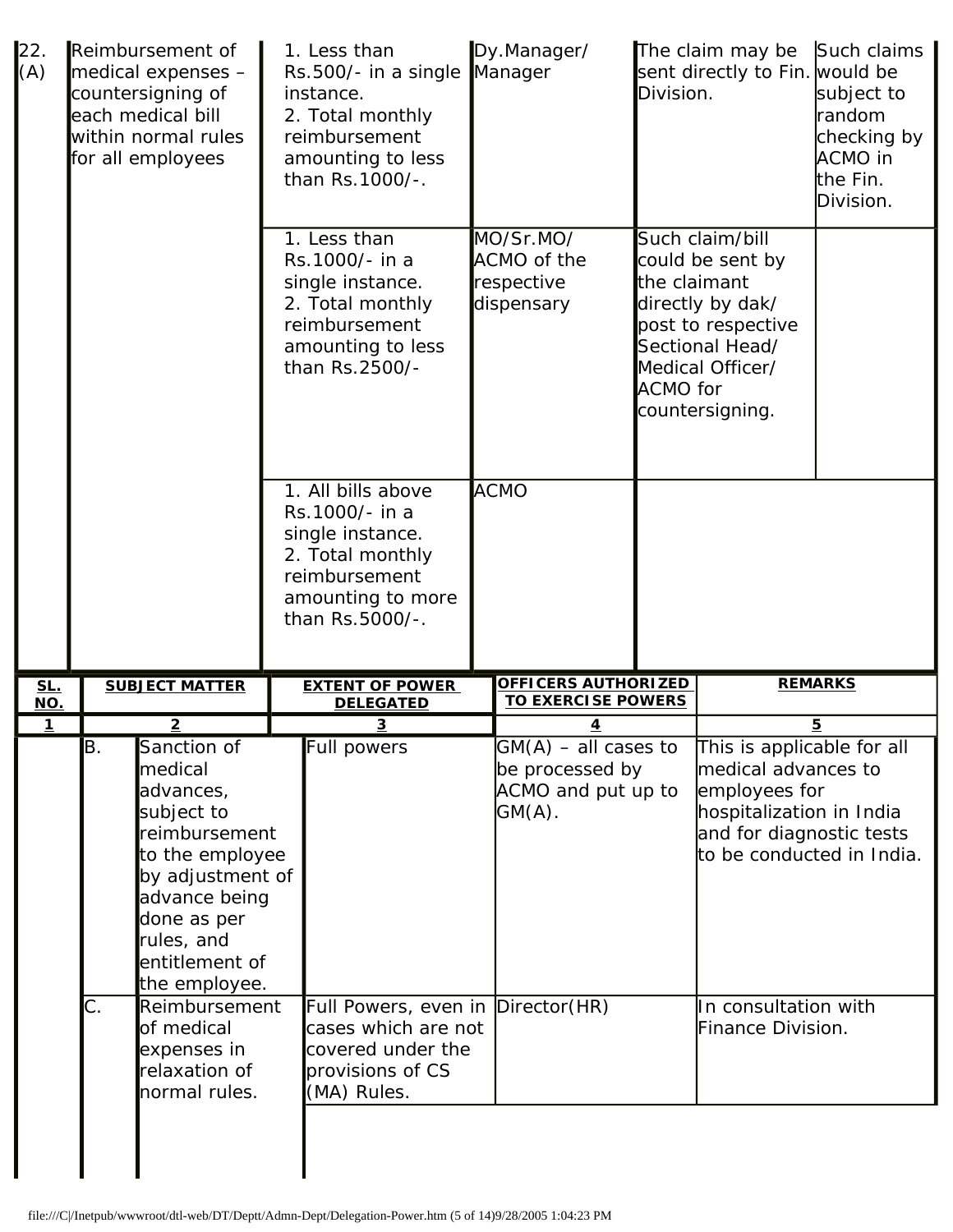| 22.<br>(A)        | Reimbursement of<br>medical expenses -<br>countersigning of<br>each medical bill<br>within normal rules<br>for all employees                                                                                                          |                       |                                                      | 1. Less than<br>Rs.500/- in a single<br>instance.<br>2. Total monthly<br>reimbursement<br>amounting to less<br>than Rs.1000/-.        | Dy.Manager/<br>Manager                                                         | Division.       | The claim may be<br>sent directly to Fin. would be                                                                                                                                                   | Such claims<br>subject to<br>random<br>checking by<br>ACMO in<br>lthe Fin.<br>Division. |
|-------------------|---------------------------------------------------------------------------------------------------------------------------------------------------------------------------------------------------------------------------------------|-----------------------|------------------------------------------------------|---------------------------------------------------------------------------------------------------------------------------------------|--------------------------------------------------------------------------------|-----------------|------------------------------------------------------------------------------------------------------------------------------------------------------------------------------------------------------|-----------------------------------------------------------------------------------------|
|                   |                                                                                                                                                                                                                                       |                       |                                                      | 1. Less than<br>Rs.1000/- in a<br>single instance.<br>2. Total monthly<br>reimbursement<br>amounting to less<br>than Rs.2500/-        | MO/Sr.MO/<br>ACMO of the<br>respective<br>dispensary                           | <b>ACMO</b> for | Such claim/bill<br>could be sent by<br>the claimant<br>directly by dak/<br>post to respective<br>Sectional Head/<br>Medical Officer/<br>countersigning.                                              |                                                                                         |
|                   |                                                                                                                                                                                                                                       |                       |                                                      | 1. All bills above<br>Rs.1000/- in a<br>single instance.<br>2. Total monthly<br>reimbursement<br>amounting to more<br>than Rs.5000/-. | <b>ACMO</b>                                                                    |                 |                                                                                                                                                                                                      |                                                                                         |
| <u>SL.</u><br>NO. |                                                                                                                                                                                                                                       | <b>SUBJECT MATTER</b> |                                                      | <b>EXTENT OF POWER</b><br><b>DELEGATED</b>                                                                                            | OFFICERS AUTHORIZED<br><b>TO EXERCISE POWERS</b>                               |                 |                                                                                                                                                                                                      | <b>REMARKS</b>                                                                          |
| $\mathbf{1}$      |                                                                                                                                                                                                                                       | $\overline{2}$        |                                                      | 3                                                                                                                                     | <u>4</u>                                                                       |                 |                                                                                                                                                                                                      | $\overline{5}$                                                                          |
|                   | B.<br>Sanction of<br>medical<br>advances,<br>subject to<br>reimbursement<br>to the employee<br>by adjustment of<br>advance being<br>done as per<br>rules, and<br>entitlement of<br>the employee.<br>C.<br>Reimbursement<br>of medical |                       |                                                      | Full powers<br>Full Powers, even in Director(HR)<br>cases which are not                                                               | $GM(A)$ – all cases to<br>be processed by<br>ACMO and put up to<br>$G(M(A))$ . |                 | This is applicable for all<br>medical advances to<br>employees for<br>hospitalization in India<br>and for diagnostic tests<br>to be conducted in India.<br>In consultation with<br>Finance Division. |                                                                                         |
|                   | expenses in<br>relaxation of<br>normal rules.                                                                                                                                                                                         |                       | covered under the<br>provisions of CS<br>(MA) Rules. |                                                                                                                                       |                                                                                |                 |                                                                                                                                                                                                      |                                                                                         |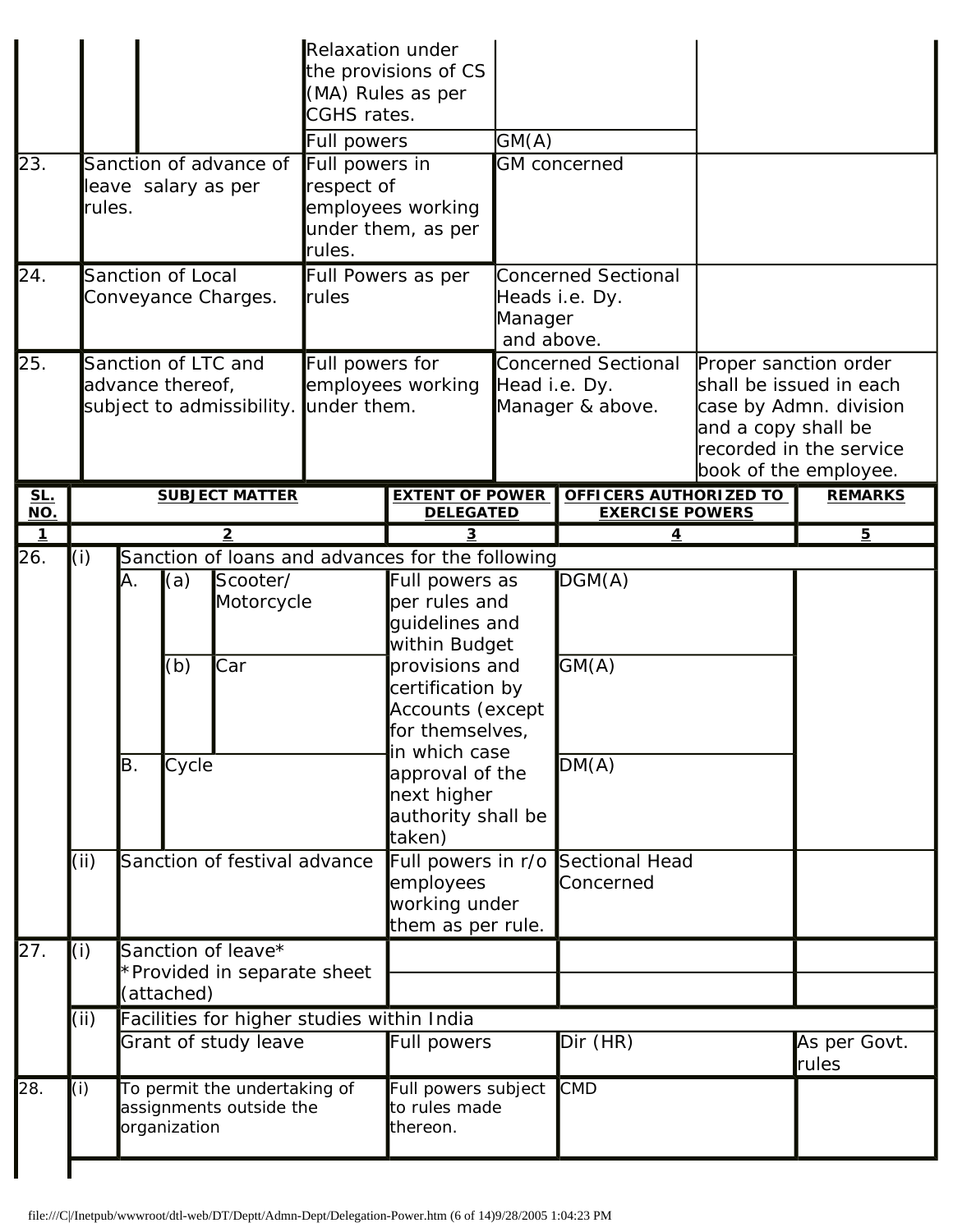|                         |             |                                                                 |                     |                                                                    | <b>Relaxation under</b><br>CGHS rates.<br>Full powers | the provisions of CS<br>(MA) Rules as per                                                                                                                                                                                                                                                                                                | GM(A)                 |                                                                            |                                              |                                                                                                       |
|-------------------------|-------------|-----------------------------------------------------------------|---------------------|--------------------------------------------------------------------|-------------------------------------------------------|------------------------------------------------------------------------------------------------------------------------------------------------------------------------------------------------------------------------------------------------------------------------------------------------------------------------------------------|-----------------------|----------------------------------------------------------------------------|----------------------------------------------|-------------------------------------------------------------------------------------------------------|
| 23.                     | rules.      |                                                                 |                     | Sanction of advance of<br>leave salary as per                      | Full powers in<br>respect of<br>rules.                | employees working<br>under them, as per                                                                                                                                                                                                                                                                                                  |                       | <b>GM</b> concerned                                                        |                                              |                                                                                                       |
| 24.                     |             |                                                                 | Sanction of Local   | Conveyance Charges.                                                | rules                                                 | Full Powers as per                                                                                                                                                                                                                                                                                                                       | Manager<br>and above. | <b>Concerned Sectional</b><br>Heads i.e. Dy.                               |                                              |                                                                                                       |
| 25.                     |             |                                                                 | advance thereof,    | Sanction of LTC and<br>subject to admissibility.                   | Full powers for<br>under them.                        | employees working                                                                                                                                                                                                                                                                                                                        | Head i.e. Dy.         | <b>Concerned Sectional</b><br>Manager & above.                             | Proper sanction order<br>and a copy shall be | shall be issued in each<br>case by Admn. division<br>recorded in the service<br>book of the employee. |
| <u>SL.</u><br>NO.       |             |                                                                 |                     | <b>SUBJECT MATTER</b>                                              |                                                       | <b>EXTENT OF POWER</b><br><b>DELEGATED</b>                                                                                                                                                                                                                                                                                               |                       | OFFICERS AUTHORIZED TO<br><b>EXERCISE POWERS</b>                           |                                              | <b>REMARKS</b>                                                                                        |
| $\overline{\mathbf{1}}$ |             |                                                                 |                     | 2                                                                  |                                                       |                                                                                                                                                                                                                                                                                                                                          |                       |                                                                            |                                              | $\overline{5}$                                                                                        |
| 26.                     | (i)<br>(ii) | IA.<br>B.                                                       | (a)<br>(b)<br>Cycle | Scooter/<br>Motorcycle<br>Car<br>Sanction of festival advance      |                                                       | Sanction of loans and advances for the following<br>Full powers as<br>per rules and<br>guidelines and<br>within Budget<br>provisions and<br>certification by<br>Accounts (except<br>for themselves<br>in which case<br>approval of the<br>next higher<br>authority shall be<br>taken)<br>employees<br>working under<br>them as per rule. |                       | DGM(A)<br>GM(A)<br>DM(A)<br>Full powers in r/o Sectional Head<br>Concerned |                                              |                                                                                                       |
| 27.                     | (i)         | Sanction of leave*<br>*Provided in separate sheet<br>(attached) |                     |                                                                    |                                                       |                                                                                                                                                                                                                                                                                                                                          |                       |                                                                            |                                              |                                                                                                       |
|                         | (ii)        |                                                                 |                     | Facilities for higher studies within India<br>Grant of study leave |                                                       | <b>Full powers</b>                                                                                                                                                                                                                                                                                                                       |                       | Dir (HR)                                                                   |                                              | As per Govt.<br>rules                                                                                 |
| 28.                     | (i)         |                                                                 | organization        | To permit the undertaking of<br>assignments outside the            |                                                       | Full powers subject<br>to rules made<br>thereon.                                                                                                                                                                                                                                                                                         |                       | <b>CMD</b>                                                                 |                                              |                                                                                                       |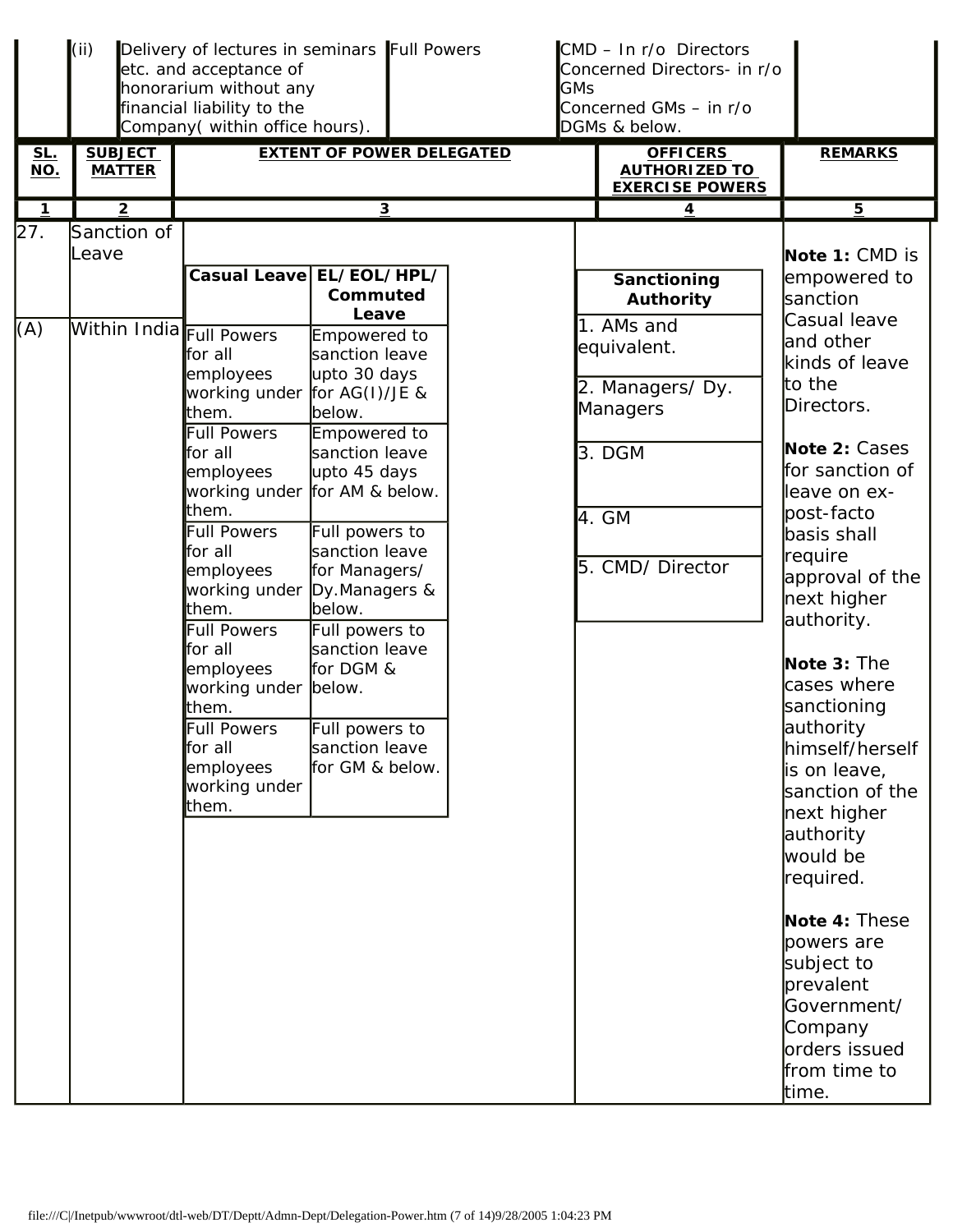|                   | (ii)                                             | Delivery of lectures in seminars Full Powers<br>etc. and acceptance of<br>honorarium without any<br>financial liability to the<br>Company(within office hours).                                                                                                                                                                                                       |                                                                                                                                                                                                                                                                                                                        |  | CMD - In r/o Directors<br>Concerned Directors- in r/o<br><b>GMs</b><br>Concerned GMs - in r/o<br>DGMs & below. |                                                                                                                                                                                                                                                                                                                                                                                                                                                                                                    |  |
|-------------------|--------------------------------------------------|-----------------------------------------------------------------------------------------------------------------------------------------------------------------------------------------------------------------------------------------------------------------------------------------------------------------------------------------------------------------------|------------------------------------------------------------------------------------------------------------------------------------------------------------------------------------------------------------------------------------------------------------------------------------------------------------------------|--|----------------------------------------------------------------------------------------------------------------|----------------------------------------------------------------------------------------------------------------------------------------------------------------------------------------------------------------------------------------------------------------------------------------------------------------------------------------------------------------------------------------------------------------------------------------------------------------------------------------------------|--|
| <u>SL.</u><br>NO. | <b>SUBJECT</b><br><b>MATTER</b>                  |                                                                                                                                                                                                                                                                                                                                                                       | <b>EXTENT OF POWER DELEGATED</b>                                                                                                                                                                                                                                                                                       |  | <b>OFFICERS</b><br><b>AUTHORIZED TO</b><br><b>EXERCISE POWERS</b>                                              | <b>REMARKS</b>                                                                                                                                                                                                                                                                                                                                                                                                                                                                                     |  |
| $\mathbf{1}$      | $\overline{2}$                                   |                                                                                                                                                                                                                                                                                                                                                                       | $\overline{\mathbf{3}}$                                                                                                                                                                                                                                                                                                |  | 4                                                                                                              | $\overline{5}$                                                                                                                                                                                                                                                                                                                                                                                                                                                                                     |  |
| 27.<br>(A)        | Sanction of<br>Leave<br>Within India Full Powers | Casual Leave EL/EOL/HPL/                                                                                                                                                                                                                                                                                                                                              | Commuted<br>Leave                                                                                                                                                                                                                                                                                                      |  | Sanctioning<br><b>Authority</b><br>1. AMs and                                                                  | Note 1: CMD is<br>empowered to<br>sanction<br>Casual leave                                                                                                                                                                                                                                                                                                                                                                                                                                         |  |
|                   |                                                  | for all<br>employees<br>working under<br>them.<br><b>Full Powers</b><br>for all<br>employees<br>working under for AM & below.<br>them.<br><b>Full Powers</b><br>for all<br>employees<br>working under<br>them.<br><b>Full Powers</b><br>for all<br>employees<br>working under below.<br>them.<br><b>Full Powers</b><br>for all<br>employees<br>working under<br>them. | Empowered to<br>sanction leave<br>upto 30 days<br>for $AG(I)/JE$ &<br>below.<br>Empowered to<br>sanction leave<br>upto 45 days<br>Full powers to<br>sanction leave<br>for Managers/<br>Dy.Managers &<br>below.<br>Full powers to<br>sanction leave<br>for DGM &<br>Full powers to<br>sanction leave<br>for GM & below. |  | equivalent.<br>2. Managers/Dy.<br>Managers<br>3. DGM<br>4. GM<br>5. CMD/ Director                              | and other<br>kinds of leave<br>to the<br>Directors.<br>Note 2: Cases<br>for sanction of<br>leave on ex-<br>post-facto<br>basis shall<br>require<br>approval of the<br>next higher<br>authority.<br>Note 3: The<br>cases where<br>sanctioning<br>authority<br>himself/herself<br>is on leave,<br>sanction of the<br>next higher<br>authority<br>would be<br>required.<br>Note 4: These<br>powers are<br>subject to<br>prevalent<br>Government/<br>Company<br>orders issued<br>from time to<br>time. |  |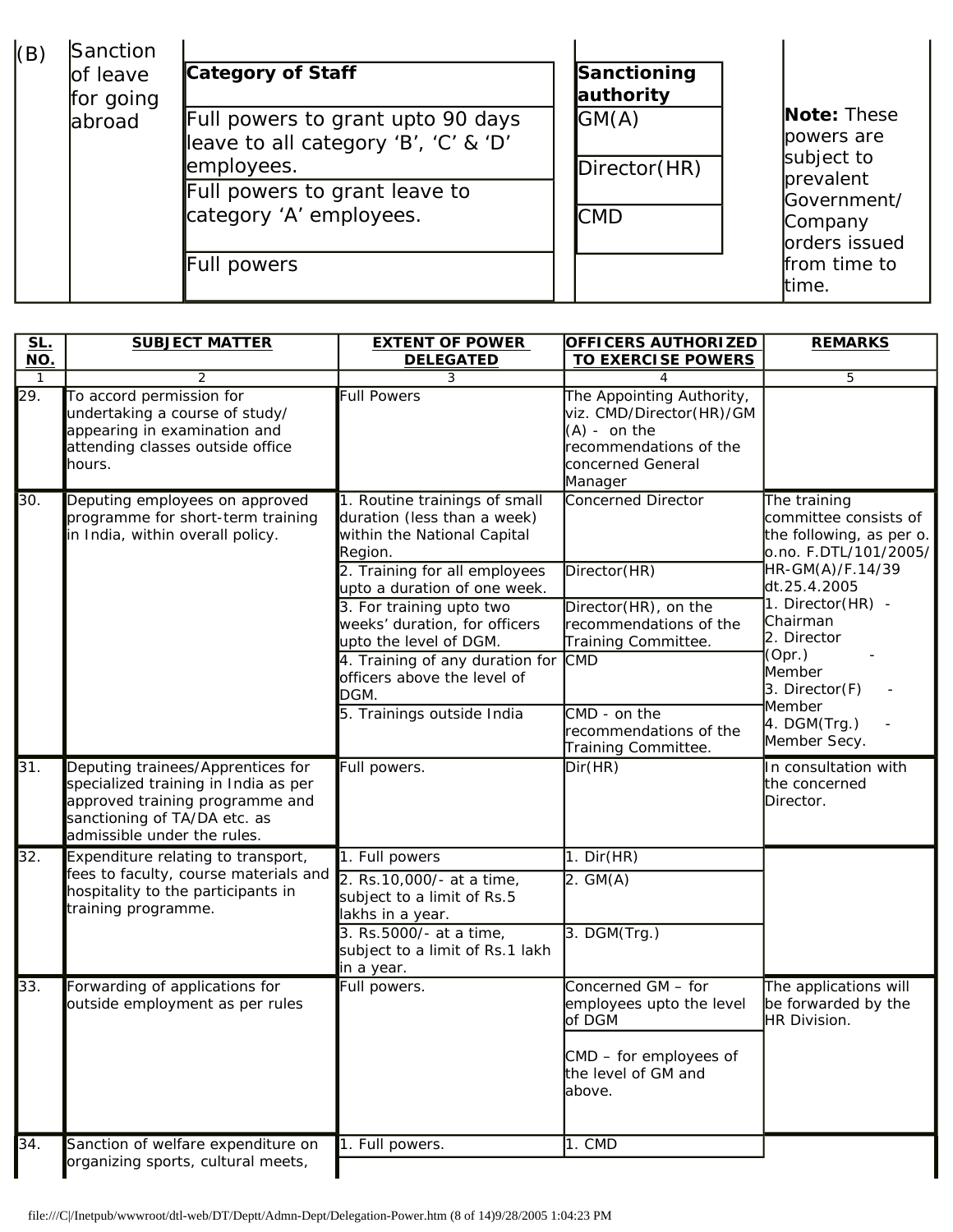| Sanction<br>(B)<br>of leave<br>for going | Category of Staff                                                                                                                                                  | Sanctioning<br>authority                 |                                                                                                                            |
|------------------------------------------|--------------------------------------------------------------------------------------------------------------------------------------------------------------------|------------------------------------------|----------------------------------------------------------------------------------------------------------------------------|
| labroad                                  | Full powers to grant upto 90 days<br>leave to all category 'B', 'C' & 'D'<br>employees.<br>Full powers to grant leave to<br>category 'A' employees.<br>Full powers | G(M(A))<br>Direction(HR)<br><b>I</b> CMD | Note: These<br>lpowers are<br>subject to<br>prevalent<br>Government/<br>Company<br>orders issued<br>from time to<br>ltime. |

| <b>SL.</b>        | <b>SUBJECT MATTER</b>                                                                                                                                                       | <b>EXTENT OF POWER</b>                                                                                                                                                                                                      | <b>OFFICERS AUTHORIZED</b>                                                                                                        | <b>REMARKS</b>                                                                                                                 |  |
|-------------------|-----------------------------------------------------------------------------------------------------------------------------------------------------------------------------|-----------------------------------------------------------------------------------------------------------------------------------------------------------------------------------------------------------------------------|-----------------------------------------------------------------------------------------------------------------------------------|--------------------------------------------------------------------------------------------------------------------------------|--|
| NO.               |                                                                                                                                                                             | <b>DELEGATED</b>                                                                                                                                                                                                            | <b>TO EXERCISE POWERS</b>                                                                                                         |                                                                                                                                |  |
| 1                 | 2                                                                                                                                                                           | 3                                                                                                                                                                                                                           | 4                                                                                                                                 | 5                                                                                                                              |  |
| $\overline{29.}$  | To accord permission for<br>undertaking a course of study/<br>appearing in examination and<br>attending classes outside office<br>hours.                                    | <b>Full Powers</b>                                                                                                                                                                                                          | The Appointing Authority,<br>viz. CMD/Director(HR)/GM<br>$(A)$ - on the<br>recommendations of the<br>concerned General<br>Manager |                                                                                                                                |  |
| 30.               | Deputing employees on approved<br>programme for short-term training<br>in India, within overall policy.                                                                     | 1. Routine trainings of small<br>duration (less than a week)<br>within the National Capital<br>Region.<br>2. Training for all employees                                                                                     | Concerned Director<br>Director(HR)                                                                                                | The training<br>committee consists of<br>the following, as per o.<br>o.no. F.DTL/101/2005/ <br>HR-GM(A)/F.14/39                |  |
|                   |                                                                                                                                                                             | upto a duration of one week.<br>3. For training upto two<br>weeks' duration, for officers<br>upto the level of DGM.<br>4. Training of any duration for<br>officers above the level of<br>DGM.<br>5. Trainings outside India | Director(HR), on the<br>recommendations of the<br>Training Committee.<br><b>CMD</b><br>$CMD - on the$<br>recommendations of the   | dt.25.4.2005<br>1. Director(HR) -<br>Chairman<br>2. Director<br>(Opr.)<br>Member<br>3. Director(F)<br>Member<br>$4.$ DGM(Trg.) |  |
|                   |                                                                                                                                                                             |                                                                                                                                                                                                                             | Training Committee.                                                                                                               | Member Secy.                                                                                                                   |  |
| 31.               | Deputing trainees/Apprentices for<br>specialized training in India as per<br>approved training programme and<br>sanctioning of TA/DA etc. as<br>admissible under the rules. | Full powers.                                                                                                                                                                                                                | Dir(HR)                                                                                                                           | In consultation with<br>the concerned<br>Director.                                                                             |  |
| 32.               | Expenditure relating to transport,                                                                                                                                          | 1. Full powers                                                                                                                                                                                                              | $1.$ Dir(HR)                                                                                                                      |                                                                                                                                |  |
|                   | fees to faculty, course materials and<br>hospitality to the participants in<br>training programme.                                                                          | 2. Rs. 10,000/- at a time,<br>subject to a limit of Rs.5<br>lakhs in a year.                                                                                                                                                | $2.$ GM $(A)$                                                                                                                     |                                                                                                                                |  |
|                   |                                                                                                                                                                             | 3. Rs.5000/- at a time,<br>subject to a limit of Rs.1 lakh<br>in a year.                                                                                                                                                    | $3.$ DGM $(Trg.)$                                                                                                                 |                                                                                                                                |  |
| 33.               | Forwarding of applications for<br>outside employment as per rules                                                                                                           | Full powers.                                                                                                                                                                                                                | Concerned GM - for<br>employees upto the level<br>of DGM<br>CMD - for employees of<br>the level of GM and<br>above.               | The applications will<br>be forwarded by the<br>HR Division.                                                                   |  |
| $\overline{34}$ . | Sanction of welfare expenditure on<br>organizing sports, cultural meets,                                                                                                    | 1. Full powers.                                                                                                                                                                                                             | $1.$ CMD                                                                                                                          |                                                                                                                                |  |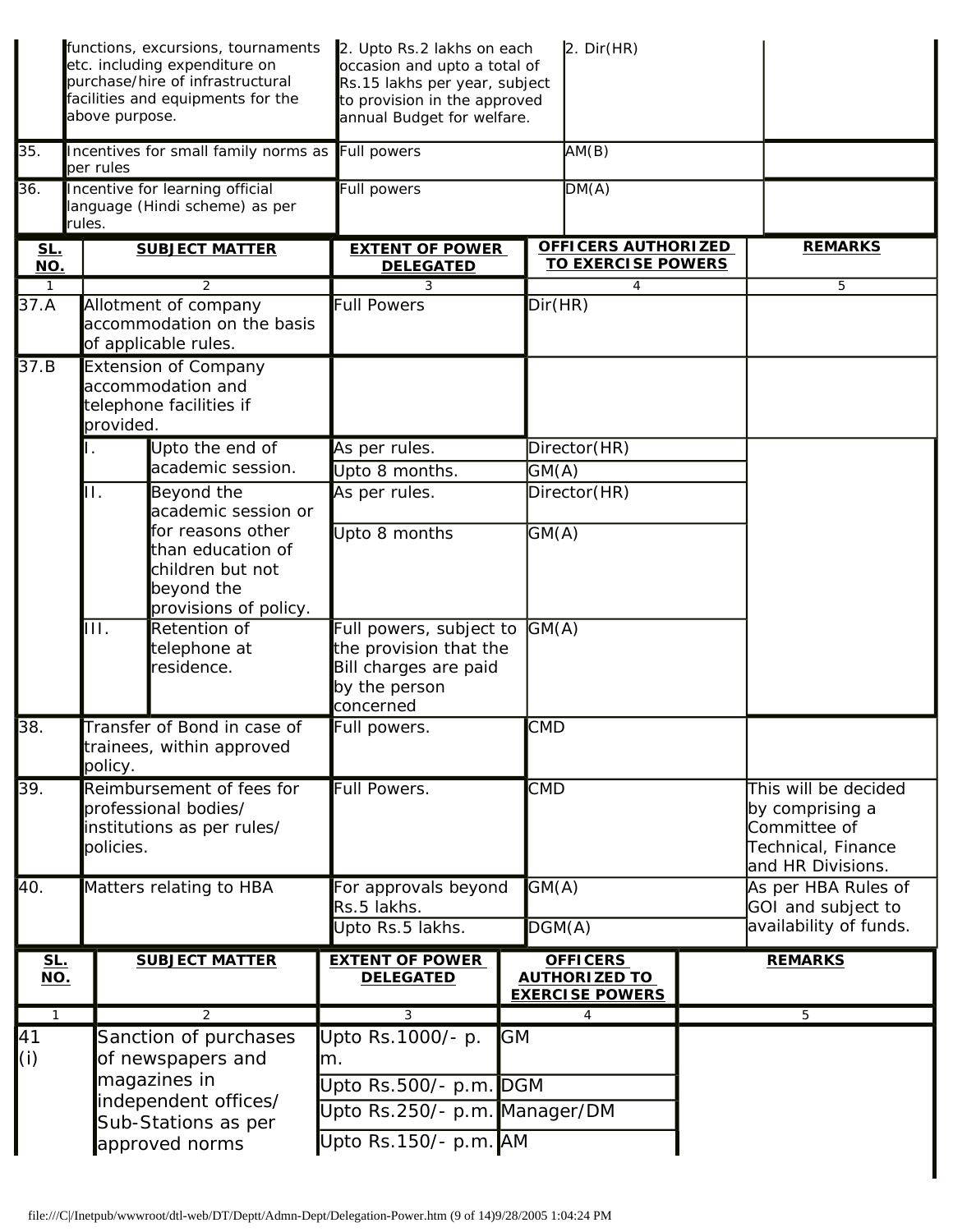|                             | functions, excursions, tournaments<br>etc. including expenditure on<br>purchase/hire of infrastructural<br>facilities and equipments for the<br>above purpose. | 2. Upto Rs.2 lakhs on each<br>occasion and upto a total of<br>Rs.15 lakhs per year, subject<br>to provision in the approved<br>annual Budget for welfare. | $2.$ Dir(HR)                                                      |                                                                                                    |
|-----------------------------|----------------------------------------------------------------------------------------------------------------------------------------------------------------|-----------------------------------------------------------------------------------------------------------------------------------------------------------|-------------------------------------------------------------------|----------------------------------------------------------------------------------------------------|
| 35.                         | Incentives for small family norms as<br>per rules                                                                                                              | Full powers                                                                                                                                               | AM(B)                                                             |                                                                                                    |
| 36.                         | Incentive for learning official<br>language (Hindi scheme) as per<br>rules.                                                                                    | Full powers                                                                                                                                               | DM(A)                                                             |                                                                                                    |
| <u>SL.</u><br>NO.           | <b>SUBJECT MATTER</b>                                                                                                                                          | <b>EXTENT OF POWER</b><br><b>DELEGATED</b>                                                                                                                | <b>OFFICERS AUTHORIZED</b><br><b>TO EXERCISE POWERS</b>           | <b>REMARKS</b>                                                                                     |
| $\mathbf{1}$<br>37.A        | $\overline{2}$<br>Allotment of company<br>accommodation on the basis<br>of applicable rules.                                                                   | 3<br><b>Full Powers</b>                                                                                                                                   | 4<br>Dir(HR)                                                      | 5                                                                                                  |
| 37.B                        | <b>Extension of Company</b><br>accommodation and<br>telephone facilities if<br>provided.                                                                       |                                                                                                                                                           |                                                                   |                                                                                                    |
|                             | Upto the end of                                                                                                                                                | As per rules.                                                                                                                                             | Director(HR)                                                      |                                                                                                    |
|                             | academic session.<br>H.                                                                                                                                        | Upto 8 months.                                                                                                                                            | GM(A)                                                             |                                                                                                    |
|                             | Beyond the<br>academic session or                                                                                                                              | As per rules.                                                                                                                                             | Director (HR)                                                     |                                                                                                    |
|                             | for reasons other<br>than education of<br>children but not<br>beyond the<br>provisions of policy.                                                              | Upto 8 months                                                                                                                                             | GM(A)                                                             |                                                                                                    |
|                             | $\overline{\mathsf{III}}$ .<br>Retention of<br>telephone at<br>residence.                                                                                      | Full powers, subject to<br>the provision that the<br>Bill charges are paid<br>by the person<br>concerned                                                  | GM(A)                                                             |                                                                                                    |
| 38.                         | Transfer of Bond in case of<br>trainees, within approved<br>policy.                                                                                            | Full powers.                                                                                                                                              | <b>CMD</b>                                                        |                                                                                                    |
| 39.                         | Reimbursement of fees for<br>professional bodies/<br>institutions as per rules/<br>policies.                                                                   | Full Powers.                                                                                                                                              | <b>CMD</b>                                                        | This will be decided<br>by comprising a<br>Committee of<br>Technical, Finance<br>and HR Divisions. |
| 40.                         | Matters relating to HBA                                                                                                                                        | For approvals beyond<br>Rs.5 lakhs.                                                                                                                       | GM(A)                                                             | As per HBA Rules of<br>GOI and subject to                                                          |
|                             |                                                                                                                                                                | Upto Rs.5 lakhs.                                                                                                                                          | DGM(A)                                                            | availability of funds.                                                                             |
| <u>SL.</u><br>$NO$ .        | <b>SUBJECT MATTER</b>                                                                                                                                          | <b>EXTENT OF POWER</b><br><b>DELEGATED</b>                                                                                                                | <b>OFFICERS</b><br><b>AUTHORIZED TO</b><br><b>EXERCISE POWERS</b> | <b>REMARKS</b>                                                                                     |
| $\overline{1}$<br>41<br>(i) | 2<br>Sanction of purchases<br>of newspapers and<br>magazines in<br>independent offices/                                                                        | 3<br>Upto Rs.1000/- p.<br><b>GM</b><br>m.<br>Upto Rs.500/- p.m. DGM                                                                                       | 4                                                                 | $\overline{5}$                                                                                     |
|                             | Sub-Stations as per<br>approved norms                                                                                                                          | Upto Rs.250/- p.m. Manager/DM<br>Upto Rs.150/- p.m. AM                                                                                                    |                                                                   |                                                                                                    |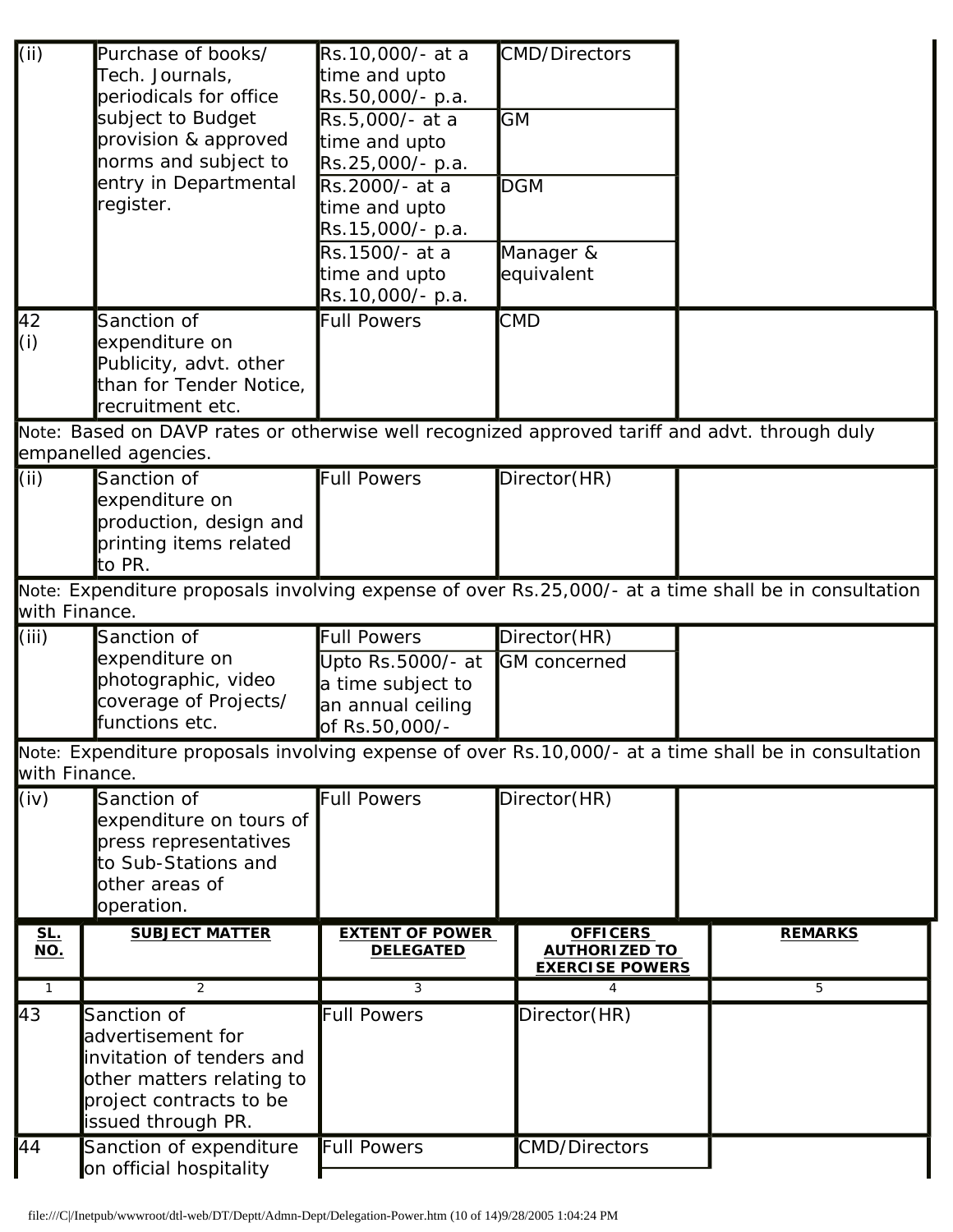| (i)                      | Purchase of books/<br>Tech. Journals,<br>periodicals for office                                                                             | Rs.10,000/- at a<br>time and upto<br>Rs.50,000/- p.a.                         | <b>CMD/Directors</b>                                              |                                                                                                      |
|--------------------------|---------------------------------------------------------------------------------------------------------------------------------------------|-------------------------------------------------------------------------------|-------------------------------------------------------------------|------------------------------------------------------------------------------------------------------|
|                          | subject to Budget<br>provision & approved<br>norms and subject to                                                                           | Rs.5,000/- at a<br>time and upto<br>Rs.25,000/- p.a.                          | <b>GM</b>                                                         |                                                                                                      |
|                          | entry in Departmental<br>register.                                                                                                          | Rs.2000/- at a<br>time and upto<br>Rs.15,000/- p.a.                           | <b>DGM</b>                                                        |                                                                                                      |
|                          |                                                                                                                                             | Rs.1500/- at a<br>time and upto<br>Rs.10,000/- p.a.                           | Manager &<br>equivalent                                           |                                                                                                      |
| $\sqrt{42}$<br>(i)       | Sanction of<br>expenditure on<br>Publicity, advt. other<br>than for Tender Notice,<br>recruitment etc.                                      | <b>Full Powers</b>                                                            | <b>CMD</b>                                                        |                                                                                                      |
|                          | Note: Based on DAVP rates or otherwise well recognized approved tariff and advt. through duly<br>empanelled agencies.                       |                                                                               |                                                                   |                                                                                                      |
| (i)                      | Sanction of<br>expenditure on<br>production, design and<br>printing items related<br>to PR.                                                 | <b>Full Powers</b>                                                            | Director(HR)                                                      |                                                                                                      |
| with Finance.            |                                                                                                                                             |                                                                               |                                                                   | Note: Expenditure proposals involving expense of over Rs.25,000/- at a time shall be in consultation |
| (iii)                    | Sanction of                                                                                                                                 | <b>Full Powers</b>                                                            | Director(HR)                                                      |                                                                                                      |
|                          | expenditure on<br>photographic, video<br>coverage of Projects/<br>functions etc.                                                            | Upto Rs.5000/- at<br>a time subject to<br>an annual ceiling<br>of Rs.50,000/- | <b>GM</b> concerned                                               |                                                                                                      |
| with Finance.            |                                                                                                                                             |                                                                               |                                                                   | Note: Expenditure proposals involving expense of over Rs.10,000/- at a time shall be in consultation |
| (iv)                     | Sanction of<br>expenditure on tours of<br>press representatives<br>to Sub-Stations and<br>other areas of<br>operation.                      | <b>Full Powers</b>                                                            | Director(HR)                                                      |                                                                                                      |
| <u>SL.</u><br><u>NO.</u> | <b>SUBJECT MATTER</b>                                                                                                                       | <b>EXTENT OF POWER</b><br><b>DELEGATED</b>                                    | <b>OFFICERS</b><br><b>AUTHORIZED TO</b><br><b>EXERCISE POWERS</b> | <b>REMARKS</b>                                                                                       |
| $\overline{1}$           | 2                                                                                                                                           | 3                                                                             | 4                                                                 | 5                                                                                                    |
| $\overline{43}$          | Sanction of<br>advertisement for<br>invitation of tenders and<br>other matters relating to<br>project contracts to be<br>issued through PR. | <b>Full Powers</b>                                                            | Director(HR)                                                      |                                                                                                      |
| 44                       | Sanction of expenditure<br>on official hospitality                                                                                          | <b>Full Powers</b>                                                            | <b>CMD/Directors</b>                                              |                                                                                                      |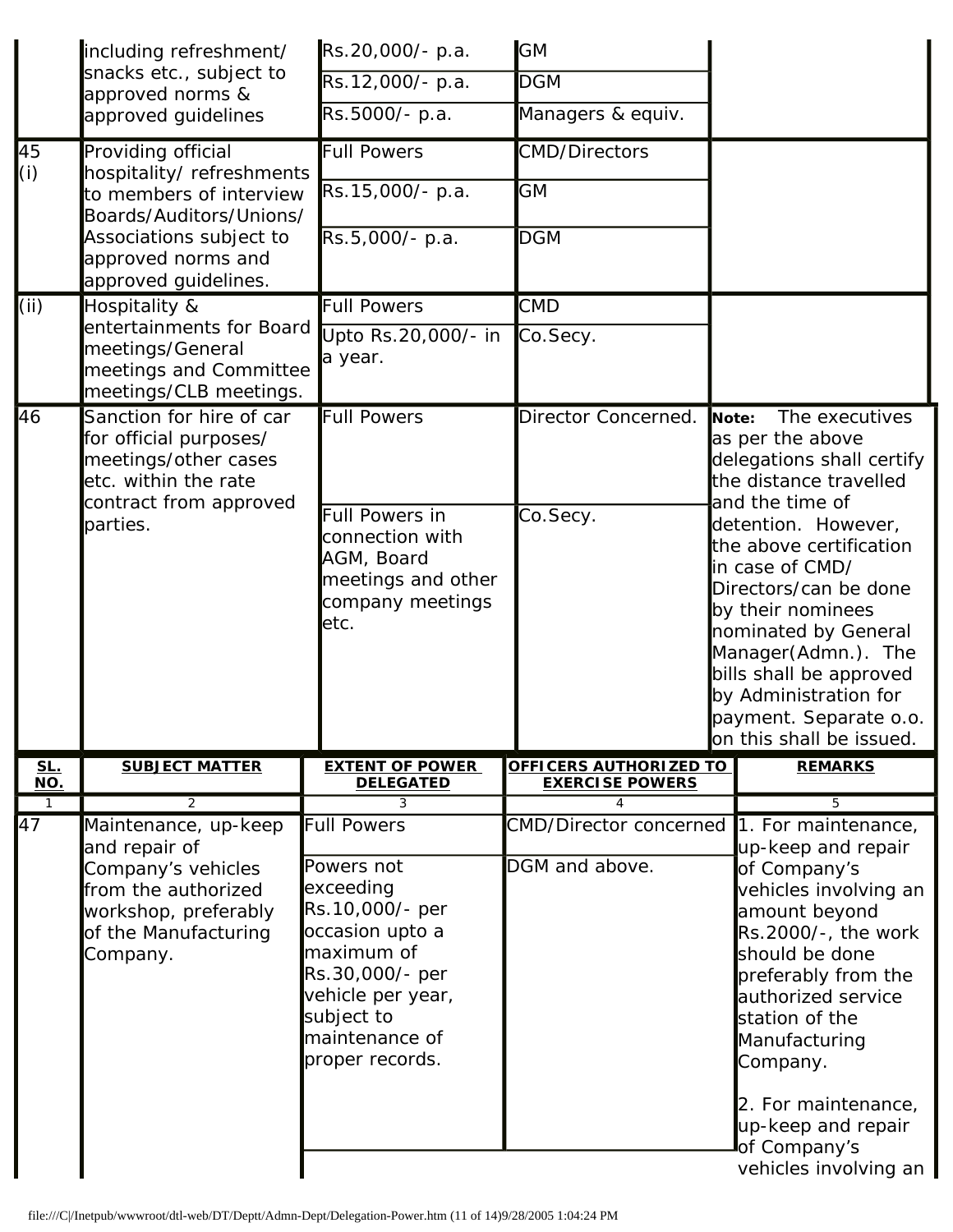|                   | including refreshment/                                                                                                                         | Rs.20,000/- p.a.                                                                                                                                                                             | <b>GM</b>                                               |       |                                                                                                                                                                                                                                                                                             |  |
|-------------------|------------------------------------------------------------------------------------------------------------------------------------------------|----------------------------------------------------------------------------------------------------------------------------------------------------------------------------------------------|---------------------------------------------------------|-------|---------------------------------------------------------------------------------------------------------------------------------------------------------------------------------------------------------------------------------------------------------------------------------------------|--|
|                   | snacks etc., subject to<br>approved norms &                                                                                                    | Rs.12,000/- p.a.                                                                                                                                                                             | <b>DGM</b>                                              |       |                                                                                                                                                                                                                                                                                             |  |
|                   | approved guidelines                                                                                                                            | Rs.5000/- p.a.                                                                                                                                                                               | Managers & equiv.                                       |       |                                                                                                                                                                                                                                                                                             |  |
| 45<br>(i)         | Providing official<br>hospitality/refreshments<br>to members of interview                                                                      | <b>Full Powers</b><br>Rs.15,000/- p.a.                                                                                                                                                       | <b>CMD/Directors</b><br><b>GM</b>                       |       |                                                                                                                                                                                                                                                                                             |  |
|                   | Boards/Auditors/Unions/<br>Associations subject to<br>approved norms and<br>approved guidelines.                                               | Rs.5,000/- p.a.                                                                                                                                                                              | <b>DGM</b>                                              |       |                                                                                                                                                                                                                                                                                             |  |
| (i)               | Hospitality &                                                                                                                                  | <b>Full Powers</b>                                                                                                                                                                           | <b>CMD</b>                                              |       |                                                                                                                                                                                                                                                                                             |  |
|                   | entertainments for Board<br>meetings/General<br>meetings and Committee<br>meetings/CLB meetings.                                               | Upto Rs.20,000/- in<br>a year.                                                                                                                                                               | Co.Secy.                                                |       |                                                                                                                                                                                                                                                                                             |  |
| 46                | Sanction for hire of car<br>for official purposes/<br>meetings/other cases<br>etc. within the rate<br>contract from approved                   | <b>Full Powers</b>                                                                                                                                                                           | Director Concerned.                                     | Note: | The executives<br>as per the above<br>delegations shall certify<br>the distance travelled                                                                                                                                                                                                   |  |
|                   | parties.                                                                                                                                       | Full Powers in<br>connection with<br>AGM, Board<br>meetings and other<br>company meetings<br>letc.                                                                                           | Co.Secy.                                                |       | and the time of<br>detention. However,<br>the above certification<br>in case of CMD/<br>Directors/can be done<br>by their nominees<br>nominated by General<br>Manager(Admn.). The<br>bills shall be approved<br>by Administration for<br>payment. Separate o.o.<br>on this shall be issued. |  |
| <u>SL.</u><br>NO. | <b>SUBJECT MATTER</b>                                                                                                                          | <b>EXTENT OF POWER</b><br><b>DELEGATED</b>                                                                                                                                                   | <b>OFFICERS AUTHORIZED TO</b><br><b>EXERCISE POWERS</b> |       | <b>REMARKS</b>                                                                                                                                                                                                                                                                              |  |
| $\mathbf{1}$      | 2                                                                                                                                              | 3                                                                                                                                                                                            |                                                         |       | 5                                                                                                                                                                                                                                                                                           |  |
| 47                | Maintenance, up-keep<br>and repair of<br>Company's vehicles<br>from the authorized<br>workshop, preferably<br>of the Manufacturing<br>Company. | <b>Full Powers</b><br>Powers not<br>exceeding<br>Rs.10,000/- per<br>occasion upto a<br>maximum of<br>Rs.30,000/- per<br>vehicle per year,<br>subject to<br>maintenance of<br>proper records. | <b>CMD/Director concerned</b><br>DGM and above.         |       | 1. For maintenance,<br>up-keep and repair<br>of Company's<br>vehicles involving an<br>amount beyond<br>Rs.2000/-, the work<br>should be done<br>preferably from the<br>authorized service<br>station of the<br>Manufacturing<br>Company.                                                    |  |
|                   |                                                                                                                                                |                                                                                                                                                                                              |                                                         |       | 2. For maintenance,<br>up-keep and repair<br>of Company's<br>vehicles involving an                                                                                                                                                                                                          |  |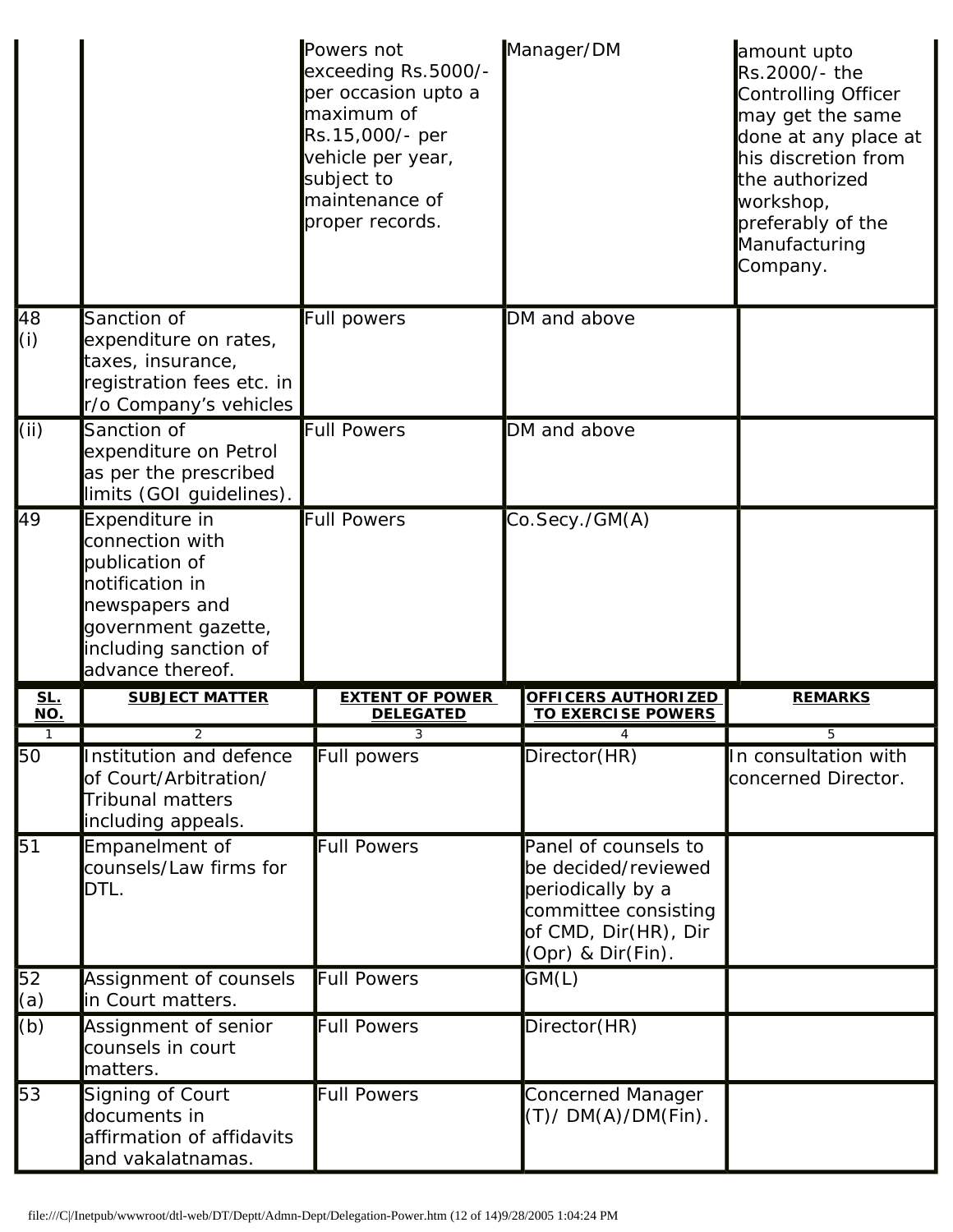|                        |                                                                                                                                                              | Powers not<br>exceeding Rs.5000/-<br>per occasion upto a<br>maximum of<br>Rs.15,000/- per<br>vehicle per year,<br>subject to<br>maintenance of<br>proper records. | Manager/DM                                                                                                                            | amount upto<br>Rs.2000/- the<br>Controlling Officer<br>may get the same<br>done at any place at<br>his discretion from<br>the authorized<br>workshop,<br>preferably of the<br>Manufacturing<br>Company. |
|------------------------|--------------------------------------------------------------------------------------------------------------------------------------------------------------|-------------------------------------------------------------------------------------------------------------------------------------------------------------------|---------------------------------------------------------------------------------------------------------------------------------------|---------------------------------------------------------------------------------------------------------------------------------------------------------------------------------------------------------|
| 48<br>(i)              | Sanction of<br>expenditure on rates,<br>taxes, insurance,<br>registration fees etc. in<br>r/o Company's vehicles                                             | <b>Full powers</b>                                                                                                                                                | DM and above                                                                                                                          |                                                                                                                                                                                                         |
| (iii)                  | Sanction of<br>expenditure on Petrol<br>as per the prescribed<br>limits (GOI guidelines).                                                                    | <b>Full Powers</b>                                                                                                                                                | DM and above                                                                                                                          |                                                                                                                                                                                                         |
| 49                     | Expenditure in<br>connection with<br>publication of<br>notification in<br>newspapers and<br>government gazette,<br>including sanction of<br>advance thereof. | <b>Full Powers</b>                                                                                                                                                | Co.Secy./GM(A)                                                                                                                        |                                                                                                                                                                                                         |
| <u>SL.</u><br>NO.      | <b>SUBJECT MATTER</b>                                                                                                                                        | <b>EXTENT OF POWER</b><br><b>DELEGATED</b>                                                                                                                        | OFFICERS AUTHORIZED<br><b>TO EXERCISE POWERS</b>                                                                                      | <b>REMARKS</b>                                                                                                                                                                                          |
| $\mathbf{1}$           | 2                                                                                                                                                            | 3                                                                                                                                                                 | 4                                                                                                                                     | 5                                                                                                                                                                                                       |
| $\overline{50}$        | Institution and defence<br>of Court/Arbitration/<br><b>Tribunal matters</b><br>including appeals.                                                            | Full powers                                                                                                                                                       | Director(HR)                                                                                                                          | In consultation with<br>concerned Director.                                                                                                                                                             |
| $\overline{51}$        | Empanelment of<br>counsels/Law firms for<br>DTL.                                                                                                             | <b>Full Powers</b>                                                                                                                                                | Panel of counsels to<br>be decided/reviewed<br>periodically by a<br>committee consisting<br>of CMD, Dir(HR), Dir<br>(Opr) & Dir(Fin). |                                                                                                                                                                                                         |
| $\overline{52}$<br>(a) | Assignment of counsels<br>in Court matters.                                                                                                                  | <b>Full Powers</b>                                                                                                                                                | GM(L)                                                                                                                                 |                                                                                                                                                                                                         |
| (b)                    | Assignment of senior<br>counsels in court<br>matters.                                                                                                        | <b>Full Powers</b>                                                                                                                                                | Director(HR)                                                                                                                          |                                                                                                                                                                                                         |
| $\overline{53}$        | Signing of Court<br>documents in<br>affirmation of affidavits<br>and vakalatnamas.                                                                           | <b>Full Powers</b>                                                                                                                                                | <b>Concerned Manager</b><br>$(T)$ / DM(A)/DM(Fin).                                                                                    |                                                                                                                                                                                                         |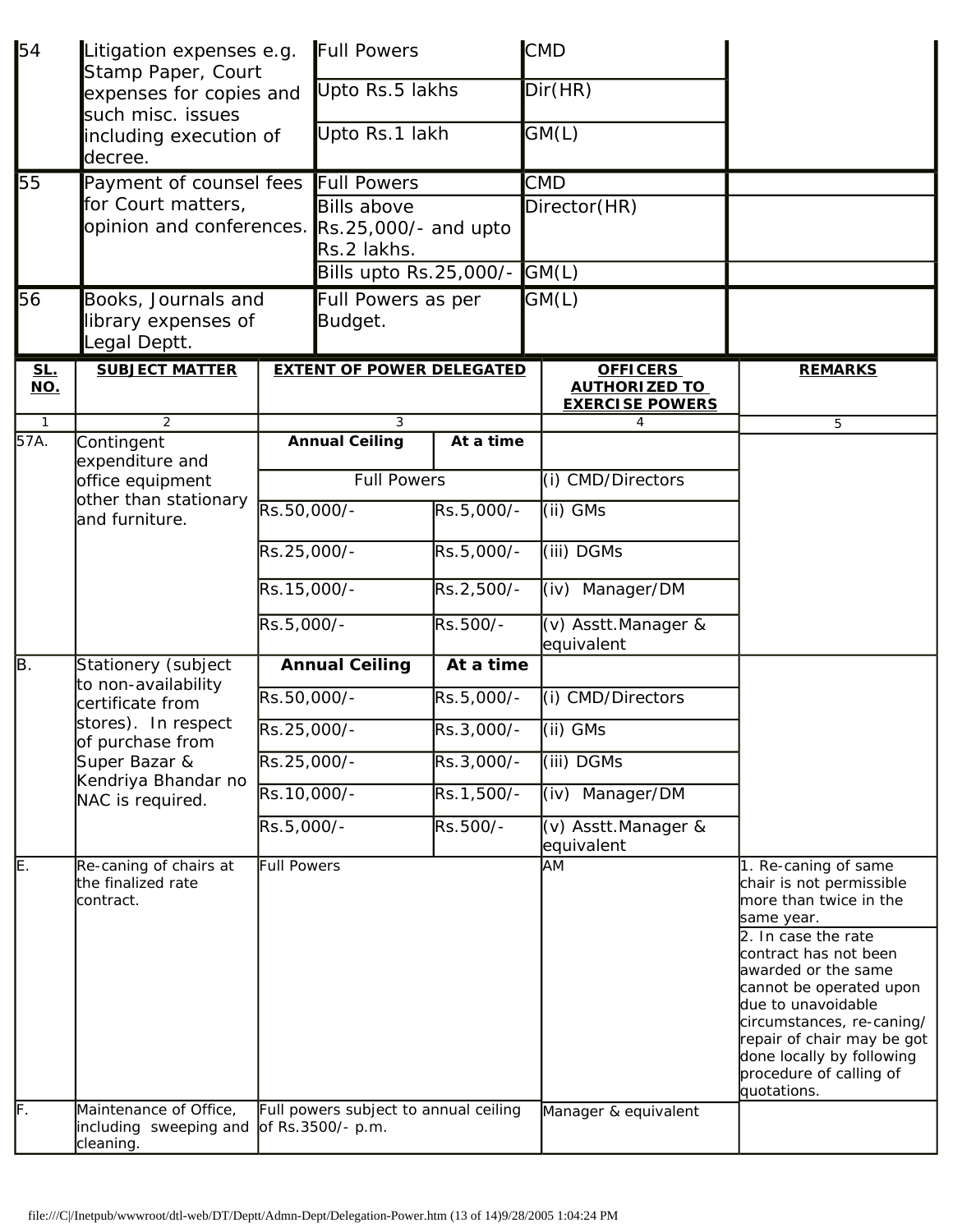| 54                | Litigation expenses e.g.<br>Stamp Paper, Court<br>expenses for copies and<br>such misc. issues<br>including execution of<br>decree. |                                                            | Full Powers<br>Upto Rs.5 lakhs   |            |  | <b>CMD</b>                                                        |                                                                                                                                                                                                                                                                                                                                                    |
|-------------------|-------------------------------------------------------------------------------------------------------------------------------------|------------------------------------------------------------|----------------------------------|------------|--|-------------------------------------------------------------------|----------------------------------------------------------------------------------------------------------------------------------------------------------------------------------------------------------------------------------------------------------------------------------------------------------------------------------------------------|
|                   |                                                                                                                                     |                                                            |                                  |            |  | Dir(HR)                                                           |                                                                                                                                                                                                                                                                                                                                                    |
|                   |                                                                                                                                     |                                                            | Upto Rs.1 lakh                   |            |  | GM(L)                                                             |                                                                                                                                                                                                                                                                                                                                                    |
| 55                | Payment of counsel fees                                                                                                             |                                                            | <b>Full Powers</b>               |            |  | <b>CMD</b>                                                        |                                                                                                                                                                                                                                                                                                                                                    |
|                   | for Court matters,<br>opinion and conferences.                                                                                      |                                                            | <b>Bills above</b>               |            |  | Director(HR)                                                      |                                                                                                                                                                                                                                                                                                                                                    |
|                   |                                                                                                                                     |                                                            | Rs.25,000/- and upto             |            |  |                                                                   |                                                                                                                                                                                                                                                                                                                                                    |
|                   |                                                                                                                                     |                                                            | Rs.2 lakhs.                      |            |  |                                                                   |                                                                                                                                                                                                                                                                                                                                                    |
|                   |                                                                                                                                     |                                                            | Bills upto Rs.25,000/-           |            |  | GML                                                               |                                                                                                                                                                                                                                                                                                                                                    |
| 56                | Books, Journals and<br>library expenses of                                                                                          |                                                            | Full Powers as per<br>Budget.    |            |  | GM(L)                                                             |                                                                                                                                                                                                                                                                                                                                                    |
|                   |                                                                                                                                     |                                                            |                                  |            |  |                                                                   |                                                                                                                                                                                                                                                                                                                                                    |
|                   | egal Deptt.                                                                                                                         |                                                            |                                  |            |  |                                                                   |                                                                                                                                                                                                                                                                                                                                                    |
| <u>SL.</u><br>NO. | <b>SUBJECT MATTER</b>                                                                                                               |                                                            | <b>EXTENT OF POWER DELEGATED</b> |            |  | <b>OFFICERS</b><br><b>AUTHORIZED TO</b><br><b>EXERCISE POWERS</b> | <b>REMARKS</b>                                                                                                                                                                                                                                                                                                                                     |
| $\mathbf{1}$      | 2                                                                                                                                   |                                                            | 3                                |            |  | 4                                                                 | 5                                                                                                                                                                                                                                                                                                                                                  |
| 57A.              | Contingent<br>expenditure and                                                                                                       |                                                            | <b>Annual Ceiling</b>            | At a time  |  |                                                                   |                                                                                                                                                                                                                                                                                                                                                    |
|                   | office equipment<br>other than stationary<br>and furniture.                                                                         | <b>Full Powers</b>                                         |                                  |            |  | (i) CMD/Directors                                                 |                                                                                                                                                                                                                                                                                                                                                    |
|                   |                                                                                                                                     | Rs.50,000/-                                                |                                  | Rs.5,000/- |  | (ii) GMs                                                          |                                                                                                                                                                                                                                                                                                                                                    |
|                   |                                                                                                                                     | Rs.25,000/-                                                |                                  | Rs.5,000/- |  | (iii) DGMs                                                        |                                                                                                                                                                                                                                                                                                                                                    |
|                   |                                                                                                                                     | Rs.15,000/-                                                |                                  | Rs.2,500/- |  | (iv) Manager/DM                                                   |                                                                                                                                                                                                                                                                                                                                                    |
|                   |                                                                                                                                     | Rs.5,000/-                                                 |                                  | Rs.500/-   |  | (v) Asstt.Manager &<br>equivalent                                 |                                                                                                                                                                                                                                                                                                                                                    |
| B.                | Stationery (subject                                                                                                                 | <b>Annual Ceiling</b>                                      |                                  | At a time  |  |                                                                   |                                                                                                                                                                                                                                                                                                                                                    |
|                   | to non-availability<br>certificate from                                                                                             | Rs.50,000/-                                                |                                  | Rs.5,000/- |  | (i) CMD/Directors                                                 |                                                                                                                                                                                                                                                                                                                                                    |
|                   | stores). In respect<br>of purchase from<br>Super Bazar &<br>Kendriya Bhandar no<br>NAC is required.                                 | Rs.25,000/-                                                |                                  | Rs.3,000/- |  | $(i)$ GMs                                                         |                                                                                                                                                                                                                                                                                                                                                    |
|                   |                                                                                                                                     | Rs.25,000/-                                                |                                  | Rs.3,000/- |  | (iii) DGMs                                                        |                                                                                                                                                                                                                                                                                                                                                    |
|                   |                                                                                                                                     | Rs.10,000/-                                                |                                  | Rs.1,500/- |  | Manager/DM<br>(iv)                                                |                                                                                                                                                                                                                                                                                                                                                    |
|                   |                                                                                                                                     | Rs.5,000/-                                                 |                                  | Rs.500/-   |  | (v) Asstt.Manager &<br>equivalent                                 |                                                                                                                                                                                                                                                                                                                                                    |
| E.<br>F.          | Re-caning of chairs at<br>the finalized rate<br>contract.<br>Maintenance of Office,                                                 | <b>Full Powers</b>                                         |                                  |            |  | <b>AM</b>                                                         | 1. Re-caning of same<br>chair is not permissible<br>more than twice in the<br>same year.<br>2. In case the rate<br>contract has not been<br>awarded or the same<br>cannot be operated upon<br>due to unavoidable<br>circumstances, re-caning/<br>repair of chair may be got<br>done locally by following<br>procedure of calling of<br>quotations. |
|                   | including sweeping and<br>cleaning.                                                                                                 | Full powers subject to annual ceiling<br>of Rs.3500/- p.m. |                                  |            |  | Manager & equivalent                                              |                                                                                                                                                                                                                                                                                                                                                    |